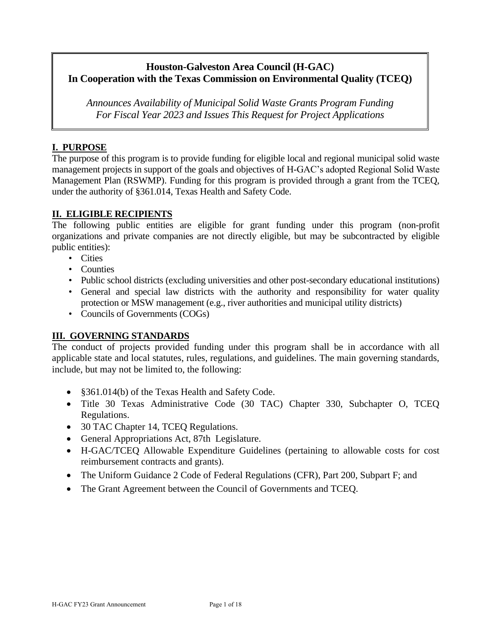# **Houston-Galveston Area Council (H-GAC) In Cooperation with the Texas Commission on Environmental Quality (TCEQ)**

*Announces Availability of Municipal Solid Waste Grants Program Funding For Fiscal Year 2023 and Issues This Request for Project Applications*

# **I. PURPOSE**

The purpose of this program is to provide funding for eligible local and regional municipal solid waste management projects in support of the goals and objectives of H-GAC's adopted Regional Solid Waste Management Plan (RSWMP). Funding for this program is provided through a grant from the TCEQ, under the authority of §361.014, Texas Health and Safety Code.

# **II. ELIGIBLE RECIPIENTS**

The following public entities are eligible for grant funding under this program (non-profit organizations and private companies are not directly eligible, but may be subcontracted by eligible public entities):

- Cities
- Counties
- Public school districts (excluding universities and other post-secondary educational institutions)
- General and special law districts with the authority and responsibility for water quality protection or MSW management (e.g., river authorities and municipal utility districts)
- Councils of Governments (COGs)

# **III. GOVERNING STANDARDS**

The conduct of projects provided funding under this program shall be in accordance with all applicable state and local statutes, rules, regulations, and guidelines. The main governing standards, include, but may not be limited to, the following:

- §361.014(b) of the Texas Health and Safety Code.
- Title 30 Texas Administrative Code (30 TAC) Chapter 330, Subchapter O, TCEQ Regulations.
- 30 TAC Chapter 14, TCEQ Regulations.
- General Appropriations Act, 87th Legislature.
- H-GAC/TCEQ Allowable Expenditure Guidelines (pertaining to allowable costs for cost reimbursement contracts and grants).
- The Uniform Guidance 2 Code of Federal Regulations (CFR), Part 200, Subpart F; and
- The Grant Agreement between the Council of Governments and TCEQ.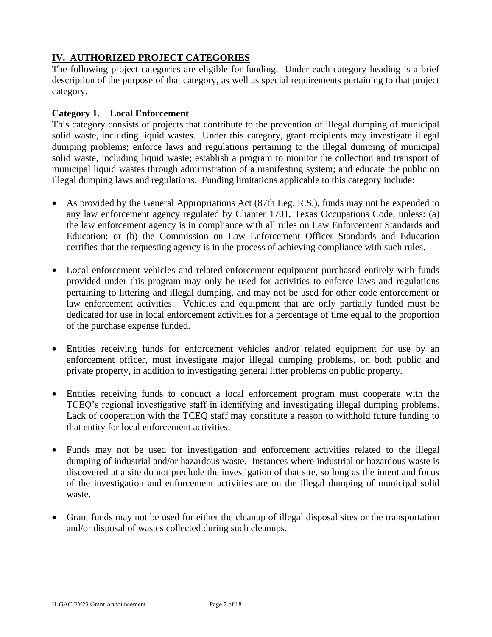# **IV. AUTHORIZED PROJECT CATEGORIES**

The following project categories are eligible for funding. Under each category heading is a brief description of the purpose of that category, as well as special requirements pertaining to that project category.

#### **Category 1. Local Enforcement**

This category consists of projects that contribute to the prevention of illegal dumping of municipal solid waste, including liquid wastes. Under this category, grant recipients may investigate illegal dumping problems; enforce laws and regulations pertaining to the illegal dumping of municipal solid waste, including liquid waste; establish a program to monitor the collection and transport of municipal liquid wastes through administration of a manifesting system; and educate the public on illegal dumping laws and regulations. Funding limitations applicable to this category include:

- As provided by the General Appropriations Act (87th Leg. R.S.), funds may not be expended to any law enforcement agency regulated by Chapter 1701, Texas Occupations Code, unless: (a) the law enforcement agency is in compliance with all rules on Law Enforcement Standards and Education; or (b) the Commission on Law Enforcement Officer Standards and Education certifies that the requesting agency is in the process of achieving compliance with such rules.
- Local enforcement vehicles and related enforcement equipment purchased entirely with funds provided under this program may only be used for activities to enforce laws and regulations pertaining to littering and illegal dumping, and may not be used for other code enforcement or law enforcement activities. Vehicles and equipment that are only partially funded must be dedicated for use in local enforcement activities for a percentage of time equal to the proportion of the purchase expense funded.
- Entities receiving funds for enforcement vehicles and/or related equipment for use by an enforcement officer, must investigate major illegal dumping problems, on both public and private property, in addition to investigating general litter problems on public property.
- Entities receiving funds to conduct a local enforcement program must cooperate with the TCEQ's regional investigative staff in identifying and investigating illegal dumping problems. Lack of cooperation with the TCEQ staff may constitute a reason to withhold future funding to that entity for local enforcement activities.
- Funds may not be used for investigation and enforcement activities related to the illegal dumping of industrial and/or hazardous waste. Instances where industrial or hazardous waste is discovered at a site do not preclude the investigation of that site, so long as the intent and focus of the investigation and enforcement activities are on the illegal dumping of municipal solid waste.
- Grant funds may not be used for either the cleanup of illegal disposal sites or the transportation and/or disposal of wastes collected during such cleanups.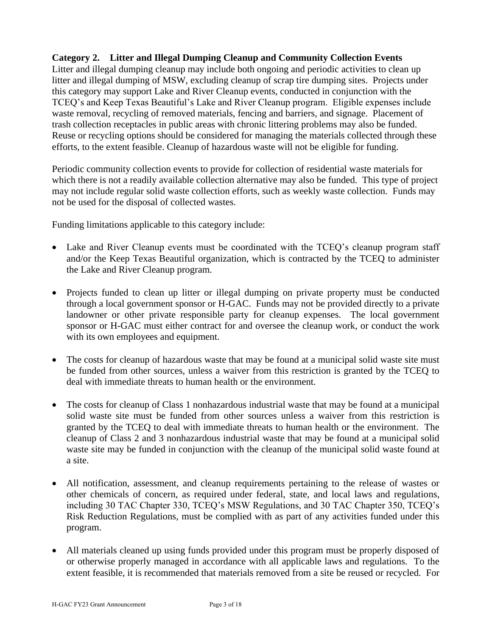# **Category 2. Litter and Illegal Dumping Cleanup and Community Collection Events**

Litter and illegal dumping cleanup may include both ongoing and periodic activities to clean up litter and illegal dumping of MSW, excluding cleanup of scrap tire dumping sites. Projects under this category may support Lake and River Cleanup events, conducted in conjunction with the TCEQ's and Keep Texas Beautiful's Lake and River Cleanup program. Eligible expenses include waste removal, recycling of removed materials, fencing and barriers, and signage. Placement of trash collection receptacles in public areas with chronic littering problems may also be funded. Reuse or recycling options should be considered for managing the materials collected through these efforts, to the extent feasible. Cleanup of hazardous waste will not be eligible for funding.

Periodic community collection events to provide for collection of residential waste materials for which there is not a readily available collection alternative may also be funded. This type of project may not include regular solid waste collection efforts, such as weekly waste collection. Funds may not be used for the disposal of collected wastes.

Funding limitations applicable to this category include:

- Lake and River Cleanup events must be coordinated with the TCEQ's cleanup program staff and/or the Keep Texas Beautiful organization, which is contracted by the TCEQ to administer the Lake and River Cleanup program.
- Projects funded to clean up litter or illegal dumping on private property must be conducted through a local government sponsor or H-GAC. Funds may not be provided directly to a private landowner or other private responsible party for cleanup expenses. The local government sponsor or H-GAC must either contract for and oversee the cleanup work, or conduct the work with its own employees and equipment.
- The costs for cleanup of hazardous waste that may be found at a municipal solid waste site must be funded from other sources, unless a waiver from this restriction is granted by the TCEQ to deal with immediate threats to human health or the environment.
- The costs for cleanup of Class 1 nonhazardous industrial waste that may be found at a municipal solid waste site must be funded from other sources unless a waiver from this restriction is granted by the TCEQ to deal with immediate threats to human health or the environment. The cleanup of Class 2 and 3 nonhazardous industrial waste that may be found at a municipal solid waste site may be funded in conjunction with the cleanup of the municipal solid waste found at a site.
- All notification, assessment, and cleanup requirements pertaining to the release of wastes or other chemicals of concern, as required under federal, state, and local laws and regulations, including 30 TAC Chapter 330, TCEQ's MSW Regulations, and 30 TAC Chapter 350, TCEQ's Risk Reduction Regulations, must be complied with as part of any activities funded under this program.
- All materials cleaned up using funds provided under this program must be properly disposed of or otherwise properly managed in accordance with all applicable laws and regulations. To the extent feasible, it is recommended that materials removed from a site be reused or recycled. For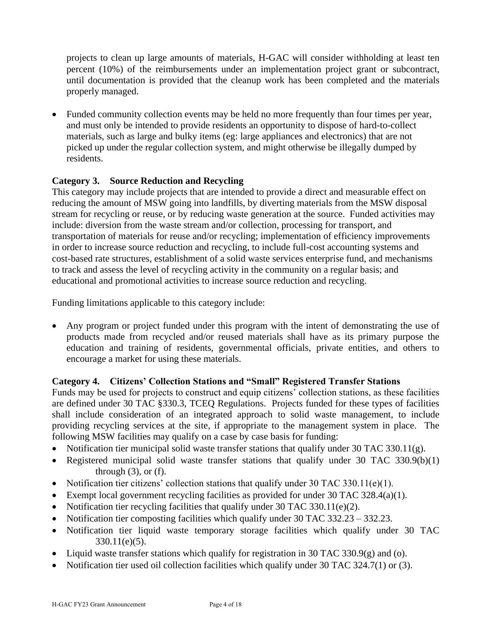projects to clean up large amounts of materials, H-GAC will consider withholding at least ten percent (10%) of the reimbursements under an implementation project grant or subcontract, until documentation is provided that the cleanup work has been completed and the materials properly managed.

• Funded community collection events may be held no more frequently than four times per year, and must only be intended to provide residents an opportunity to dispose of hard-to-collect materials, such as large and bulky items (eg: large appliances and electronics) that are not picked up under the regular collection system, and might otherwise be illegally dumped by residents.

# **Category 3. Source Reduction and Recycling**

This category may include projects that are intended to provide a direct and measurable effect on reducing the amount of MSW going into landfills, by diverting materials from the MSW disposal stream for recycling or reuse, or by reducing waste generation at the source. Funded activities may include: diversion from the waste stream and/or collection, processing for transport, and transportation of materials for reuse and/or recycling; implementation of efficiency improvements in order to increase source reduction and recycling, to include full-cost accounting systems and cost-based rate structures, establishment of a solid waste services enterprise fund, and mechanisms to track and assess the level of recycling activity in the community on a regular basis; and educational and promotional activities to increase source reduction and recycling.

Funding limitations applicable to this category include:

• Any program or project funded under this program with the intent of demonstrating the use of products made from recycled and/or reused materials shall have as its primary purpose the education and training of residents, governmental officials, private entities, and others to encourage a market for using these materials.

# **Category 4. Citizens' Collection Stations and "Small" Registered Transfer Stations**

Funds may be used for projects to construct and equip citizens' collection stations, as these facilities are defined under 30 TAC §330.3, TCEQ Regulations. Projects funded for these types of facilities shall include consideration of an integrated approach to solid waste management, to include providing recycling services at the site, if appropriate to the management system in place. The following MSW facilities may qualify on a case by case basis for funding:

- Notification tier municipal solid waste transfer stations that qualify under 30 TAC 330.11 $(g)$ .
- Registered municipal solid waste transfer stations that qualify under 30 TAC 330.9(b)(1) through  $(3)$ , or  $(f)$ .
- Notification tier citizens' collection stations that qualify under  $30$  TAC  $330.11(e)(1)$ .
- Exempt local government recycling facilities as provided for under 30 TAC 328.4(a)(1).
- Notification tier recycling facilities that qualify under  $30$  TAC  $330.11(e)(2)$ .
- Notification tier composting facilities which qualify under 30 TAC 332.23 332.23.
- Notification tier liquid waste temporary storage facilities which qualify under 30 TAC 330.11(e)(5).
- Liquid waste transfer stations which qualify for registration in 30 TAC 330.9(g) and (o).
- Notification tier used oil collection facilities which qualify under 30 TAC 324.7(1) or (3).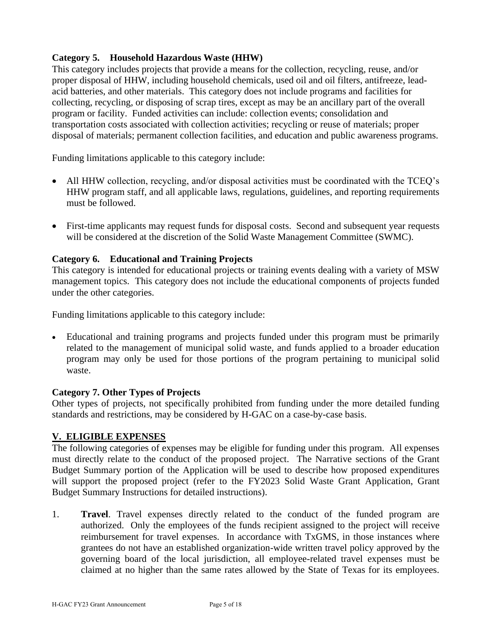# **Category 5. Household Hazardous Waste (HHW)**

This category includes projects that provide a means for the collection, recycling, reuse, and/or proper disposal of HHW, including household chemicals, used oil and oil filters, antifreeze, leadacid batteries, and other materials. This category does not include programs and facilities for collecting, recycling, or disposing of scrap tires, except as may be an ancillary part of the overall program or facility. Funded activities can include: collection events; consolidation and transportation costs associated with collection activities; recycling or reuse of materials; proper disposal of materials; permanent collection facilities, and education and public awareness programs.

Funding limitations applicable to this category include:

- All HHW collection, recycling, and/or disposal activities must be coordinated with the TCEQ's HHW program staff, and all applicable laws, regulations, guidelines, and reporting requirements must be followed.
- First-time applicants may request funds for disposal costs. Second and subsequent year requests will be considered at the discretion of the Solid Waste Management Committee (SWMC).

# **Category 6. Educational and Training Projects**

This category is intended for educational projects or training events dealing with a variety of MSW management topics. This category does not include the educational components of projects funded under the other categories.

Funding limitations applicable to this category include:

• Educational and training programs and projects funded under this program must be primarily related to the management of municipal solid waste, and funds applied to a broader education program may only be used for those portions of the program pertaining to municipal solid waste.

#### **Category 7. Other Types of Projects**

Other types of projects, not specifically prohibited from funding under the more detailed funding standards and restrictions, may be considered by H-GAC on a case-by-case basis.

#### **V. ELIGIBLE EXPENSES**

The following categories of expenses may be eligible for funding under this program. All expenses must directly relate to the conduct of the proposed project. The Narrative sections of the Grant Budget Summary portion of the Application will be used to describe how proposed expenditures will support the proposed project (refer to the FY2023 Solid Waste Grant Application, Grant Budget Summary Instructions for detailed instructions).

1. **Travel**. Travel expenses directly related to the conduct of the funded program are authorized. Only the employees of the funds recipient assigned to the project will receive reimbursement for travel expenses. In accordance with TxGMS, in those instances where grantees do not have an established organization-wide written travel policy approved by the governing board of the local jurisdiction, all employee-related travel expenses must be claimed at no higher than the same rates allowed by the State of Texas for its employees.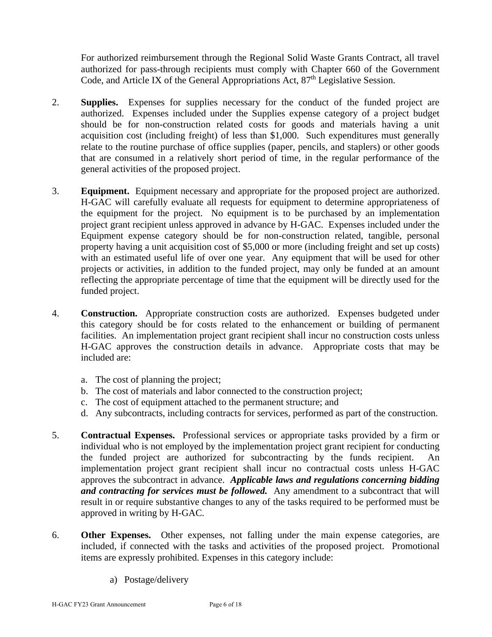For authorized reimbursement through the Regional Solid Waste Grants Contract, all travel authorized for pass-through recipients must comply with Chapter 660 of the Government Code, and Article IX of the General Appropriations Act, 87<sup>th</sup> Legislative Session.

- 2. **Supplies.** Expenses for supplies necessary for the conduct of the funded project are authorized. Expenses included under the Supplies expense category of a project budget should be for non-construction related costs for goods and materials having a unit acquisition cost (including freight) of less than \$1,000. Such expenditures must generally relate to the routine purchase of office supplies (paper, pencils, and staplers) or other goods that are consumed in a relatively short period of time, in the regular performance of the general activities of the proposed project.
- 3. **Equipment.** Equipment necessary and appropriate for the proposed project are authorized. H-GAC will carefully evaluate all requests for equipment to determine appropriateness of the equipment for the project. No equipment is to be purchased by an implementation project grant recipient unless approved in advance by H-GAC. Expenses included under the Equipment expense category should be for non-construction related, tangible, personal property having a unit acquisition cost of \$5,000 or more (including freight and set up costs) with an estimated useful life of over one year. Any equipment that will be used for other projects or activities, in addition to the funded project, may only be funded at an amount reflecting the appropriate percentage of time that the equipment will be directly used for the funded project.
- 4. **Construction.** Appropriate construction costs are authorized. Expenses budgeted under this category should be for costs related to the enhancement or building of permanent facilities. An implementation project grant recipient shall incur no construction costs unless H-GAC approves the construction details in advance. Appropriate costs that may be included are:
	- a. The cost of planning the project;
	- b. The cost of materials and labor connected to the construction project;
	- c. The cost of equipment attached to the permanent structure; and
	- d. Any subcontracts, including contracts for services, performed as part of the construction.
- 5. **Contractual Expenses.** Professional services or appropriate tasks provided by a firm or individual who is not employed by the implementation project grant recipient for conducting the funded project are authorized for subcontracting by the funds recipient. An implementation project grant recipient shall incur no contractual costs unless H-GAC approves the subcontract in advance. *Applicable laws and regulations concerning bidding and contracting for services must be followed.* Any amendment to a subcontract that will result in or require substantive changes to any of the tasks required to be performed must be approved in writing by H-GAC.
- 6. **Other Expenses.** Other expenses, not falling under the main expense categories, are included, if connected with the tasks and activities of the proposed project. Promotional items are expressly prohibited. Expenses in this category include:
	- a) Postage/delivery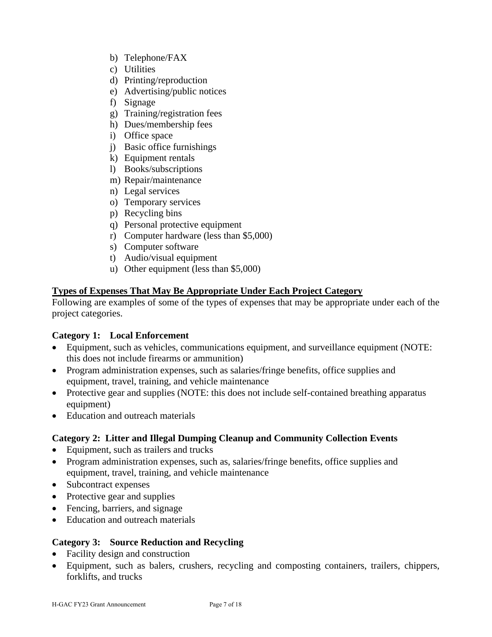- b) Telephone/FAX
- c) Utilities
- d) Printing/reproduction
- e) Advertising/public notices
- f) Signage
- g) Training/registration fees
- h) Dues/membership fees
- i) Office space
- j) Basic office furnishings
- k) Equipment rentals
- l) Books/subscriptions
- m) Repair/maintenance
- n) Legal services
- o) Temporary services
- p) Recycling bins
- q) Personal protective equipment
- r) Computer hardware (less than \$5,000)
- s) Computer software
- t) Audio/visual equipment
- u) Other equipment (less than \$5,000)

### **Types of Expenses That May Be Appropriate Under Each Project Category**

Following are examples of some of the types of expenses that may be appropriate under each of the project categories.

#### **Category 1: Local Enforcement**

- Equipment, such as vehicles, communications equipment, and surveillance equipment (NOTE: this does not include firearms or ammunition)
- Program administration expenses, such as salaries/fringe benefits, office supplies and equipment, travel, training, and vehicle maintenance
- Protective gear and supplies (NOTE: this does not include self-contained breathing apparatus equipment)
- Education and outreach materials

#### **Category 2: Litter and Illegal Dumping Cleanup and Community Collection Events**

- Equipment, such as trailers and trucks
- Program administration expenses, such as, salaries/fringe benefits, office supplies and equipment, travel, training, and vehicle maintenance
- Subcontract expenses
- Protective gear and supplies
- Fencing, barriers, and signage
- Education and outreach materials

#### **Category 3: Source Reduction and Recycling**

- Facility design and construction
- Equipment, such as balers, crushers, recycling and composting containers, trailers, chippers, forklifts, and trucks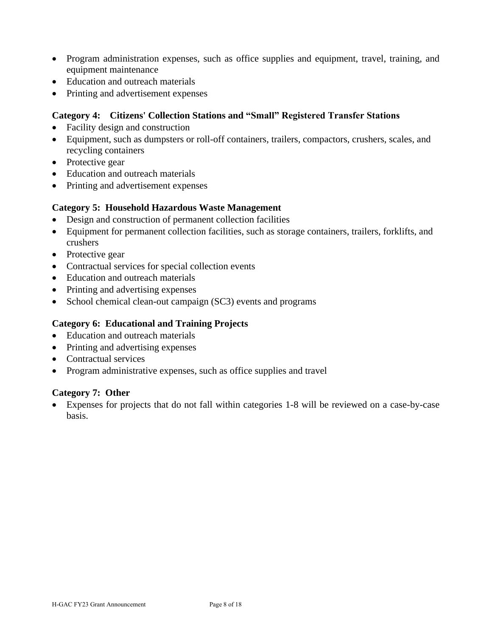- Program administration expenses, such as office supplies and equipment, travel, training, and equipment maintenance
- Education and outreach materials
- Printing and advertisement expenses

### **Category 4: Citizens' Collection Stations and "Small" Registered Transfer Stations**

- Facility design and construction
- Equipment, such as dumpsters or roll-off containers, trailers, compactors, crushers, scales, and recycling containers
- Protective gear
- Education and outreach materials
- Printing and advertisement expenses

### **Category 5: Household Hazardous Waste Management**

- Design and construction of permanent collection facilities
- Equipment for permanent collection facilities, such as storage containers, trailers, forklifts, and crushers
- Protective gear
- Contractual services for special collection events
- Education and outreach materials
- Printing and advertising expenses
- School chemical clean-out campaign (SC3) events and programs

### **Category 6: Educational and Training Projects**

- Education and outreach materials
- Printing and advertising expenses
- Contractual services
- Program administrative expenses, such as office supplies and travel

#### **Category 7: Other**

• Expenses for projects that do not fall within categories 1-8 will be reviewed on a case-by-case basis.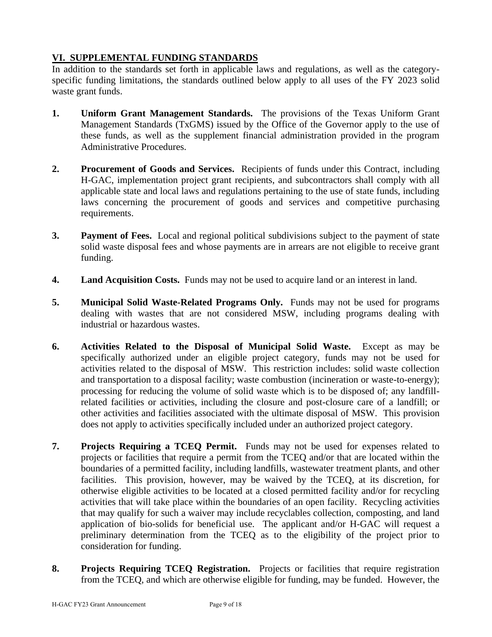# **VI. SUPPLEMENTAL FUNDING STANDARDS**

In addition to the standards set forth in applicable laws and regulations, as well as the categoryspecific funding limitations, the standards outlined below apply to all uses of the FY 2023 solid waste grant funds.

- **1. Uniform Grant Management Standards.** The provisions of the Texas Uniform Grant Management Standards (TxGMS) issued by the Office of the Governor apply to the use of these funds, as well as the supplement financial administration provided in the program Administrative Procedures.
- **2. Procurement of Goods and Services.** Recipients of funds under this Contract, including H-GAC, implementation project grant recipients, and subcontractors shall comply with all applicable state and local laws and regulations pertaining to the use of state funds, including laws concerning the procurement of goods and services and competitive purchasing requirements.
- **3. Payment of Fees.** Local and regional political subdivisions subject to the payment of state solid waste disposal fees and whose payments are in arrears are not eligible to receive grant funding.
- **4. Land Acquisition Costs.** Funds may not be used to acquire land or an interest in land.
- **5. Municipal Solid Waste-Related Programs Only.** Funds may not be used for programs dealing with wastes that are not considered MSW, including programs dealing with industrial or hazardous wastes.
- **6. Activities Related to the Disposal of Municipal Solid Waste.** Except as may be specifically authorized under an eligible project category, funds may not be used for activities related to the disposal of MSW. This restriction includes: solid waste collection and transportation to a disposal facility; waste combustion (incineration or waste-to-energy); processing for reducing the volume of solid waste which is to be disposed of; any landfillrelated facilities or activities, including the closure and post-closure care of a landfill; or other activities and facilities associated with the ultimate disposal of MSW. This provision does not apply to activities specifically included under an authorized project category.
- **7. Projects Requiring a TCEQ Permit.** Funds may not be used for expenses related to projects or facilities that require a permit from the TCEQ and/or that are located within the boundaries of a permitted facility, including landfills, wastewater treatment plants, and other facilities. This provision, however, may be waived by the TCEQ, at its discretion, for otherwise eligible activities to be located at a closed permitted facility and/or for recycling activities that will take place within the boundaries of an open facility. Recycling activities that may qualify for such a waiver may include recyclables collection, composting, and land application of bio-solids for beneficial use. The applicant and/or H-GAC will request a preliminary determination from the TCEQ as to the eligibility of the project prior to consideration for funding.
- **8. Projects Requiring TCEQ Registration.** Projects or facilities that require registration from the TCEQ, and which are otherwise eligible for funding, may be funded. However, the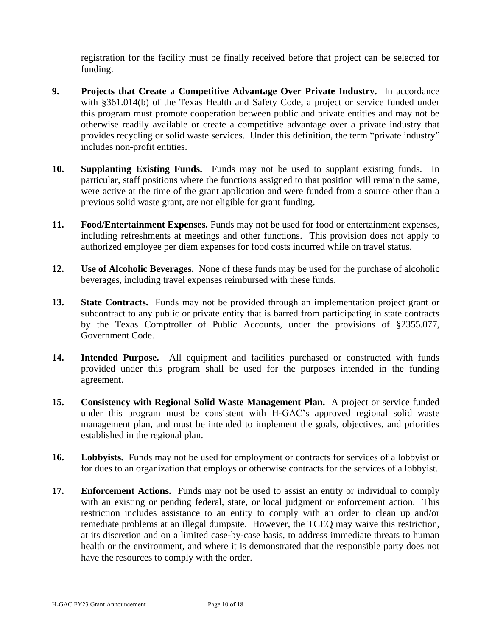registration for the facility must be finally received before that project can be selected for funding.

- **9. Projects that Create a Competitive Advantage Over Private Industry.** In accordance with §361.014(b) of the Texas Health and Safety Code, a project or service funded under this program must promote cooperation between public and private entities and may not be otherwise readily available or create a competitive advantage over a private industry that provides recycling or solid waste services. Under this definition, the term "private industry" includes non-profit entities.
- **10. Supplanting Existing Funds.** Funds may not be used to supplant existing funds. In particular, staff positions where the functions assigned to that position will remain the same, were active at the time of the grant application and were funded from a source other than a previous solid waste grant, are not eligible for grant funding.
- **11. Food/Entertainment Expenses.** Funds may not be used for food or entertainment expenses, including refreshments at meetings and other functions. This provision does not apply to authorized employee per diem expenses for food costs incurred while on travel status.
- **12. Use of Alcoholic Beverages.** None of these funds may be used for the purchase of alcoholic beverages, including travel expenses reimbursed with these funds.
- **13. State Contracts.** Funds may not be provided through an implementation project grant or subcontract to any public or private entity that is barred from participating in state contracts by the Texas Comptroller of Public Accounts, under the provisions of §2355.077, Government Code.
- **14. Intended Purpose.** All equipment and facilities purchased or constructed with funds provided under this program shall be used for the purposes intended in the funding agreement.
- **15. Consistency with Regional Solid Waste Management Plan.** A project or service funded under this program must be consistent with H-GAC's approved regional solid waste management plan, and must be intended to implement the goals, objectives, and priorities established in the regional plan.
- **16. Lobbyists.** Funds may not be used for employment or contracts for services of a lobbyist or for dues to an organization that employs or otherwise contracts for the services of a lobbyist.
- 17. **Enforcement Actions.** Funds may not be used to assist an entity or individual to comply with an existing or pending federal, state, or local judgment or enforcement action. This restriction includes assistance to an entity to comply with an order to clean up and/or remediate problems at an illegal dumpsite. However, the TCEQ may waive this restriction, at its discretion and on a limited case-by-case basis, to address immediate threats to human health or the environment, and where it is demonstrated that the responsible party does not have the resources to comply with the order.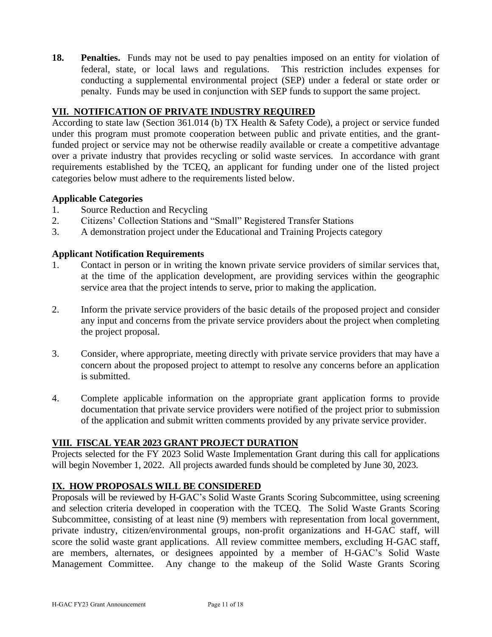**18. Penalties.** Funds may not be used to pay penalties imposed on an entity for violation of federal, state, or local laws and regulations. This restriction includes expenses for conducting a supplemental environmental project (SEP) under a federal or state order or penalty. Funds may be used in conjunction with SEP funds to support the same project.

# **VII. NOTIFICATION OF PRIVATE INDUSTRY REQUIRED**

According to state law (Section 361.014 (b) TX Health & Safety Code), a project or service funded under this program must promote cooperation between public and private entities, and the grantfunded project or service may not be otherwise readily available or create a competitive advantage over a private industry that provides recycling or solid waste services. In accordance with grant requirements established by the TCEQ, an applicant for funding under one of the listed project categories below must adhere to the requirements listed below.

# **Applicable Categories**

- 1. Source Reduction and Recycling
- 2. Citizens' Collection Stations and "Small" Registered Transfer Stations
- 3. A demonstration project under the Educational and Training Projects category

# **Applicant Notification Requirements**

- 1. Contact in person or in writing the known private service providers of similar services that, at the time of the application development, are providing services within the geographic service area that the project intends to serve, prior to making the application.
- 2. Inform the private service providers of the basic details of the proposed project and consider any input and concerns from the private service providers about the project when completing the project proposal.
- 3. Consider, where appropriate, meeting directly with private service providers that may have a concern about the proposed project to attempt to resolve any concerns before an application is submitted.
- 4. Complete applicable information on the appropriate grant application forms to provide documentation that private service providers were notified of the project prior to submission of the application and submit written comments provided by any private service provider.

# **VIII. FISCAL YEAR 2023 GRANT PROJECT DURATION**

Projects selected for the FY 2023 Solid Waste Implementation Grant during this call for applications will begin November 1, 2022. All projects awarded funds should be completed by June 30, 2023.

# **IX. HOW PROPOSALS WILL BE CONSIDERED**

Proposals will be reviewed by H-GAC's Solid Waste Grants Scoring Subcommittee, using screening and selection criteria developed in cooperation with the TCEQ. The Solid Waste Grants Scoring Subcommittee, consisting of at least nine (9) members with representation from local government, private industry, citizen/environmental groups, non-profit organizations and H-GAC staff, will score the solid waste grant applications. All review committee members, excluding H-GAC staff, are members, alternates, or designees appointed by a member of H-GAC's Solid Waste Management Committee. Any change to the makeup of the Solid Waste Grants Scoring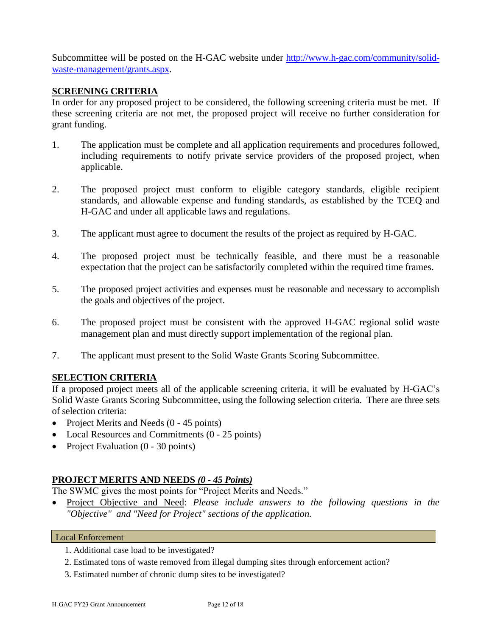Subcommittee will be posted on the H-GAC website under [http://www.h-gac.com/community/solid](http://www.h-gac.com/community/solid-waste-management/grants.aspx)[waste-management/grants.aspx.](http://www.h-gac.com/community/solid-waste-management/grants.aspx)

#### **SCREENING CRITERIA**

In order for any proposed project to be considered, the following screening criteria must be met. If these screening criteria are not met, the proposed project will receive no further consideration for grant funding.

- 1. The application must be complete and all application requirements and procedures followed, including requirements to notify private service providers of the proposed project, when applicable.
- 2. The proposed project must conform to eligible category standards, eligible recipient standards, and allowable expense and funding standards, as established by the TCEQ and H-GAC and under all applicable laws and regulations.
- 3. The applicant must agree to document the results of the project as required by H-GAC.
- 4. The proposed project must be technically feasible, and there must be a reasonable expectation that the project can be satisfactorily completed within the required time frames.
- 5. The proposed project activities and expenses must be reasonable and necessary to accomplish the goals and objectives of the project.
- 6. The proposed project must be consistent with the approved H-GAC regional solid waste management plan and must directly support implementation of the regional plan.
- 7. The applicant must present to the Solid Waste Grants Scoring Subcommittee.

# **SELECTION CRITERIA**

If a proposed project meets all of the applicable screening criteria, it will be evaluated by H-GAC's Solid Waste Grants Scoring Subcommittee, using the following selection criteria. There are three sets of selection criteria:

- Project Merits and Needs (0 45 points)
- Local Resources and Commitments (0 25 points)
- Project Evaluation (0 30 points)

# **PROJECT MERITS AND NEEDS** *(0 - 45 Points)*

The SWMC gives the most points for "Project Merits and Needs."

• Project Objective and Need: *Please include answers to the following questions in the "Objective" and "Need for Project" sections of the application.*

#### Local Enforcement

- 1. Additional case load to be investigated?
- 2. Estimated tons of waste removed from illegal dumping sites through enforcement action?
- 3. Estimated number of chronic dump sites to be investigated?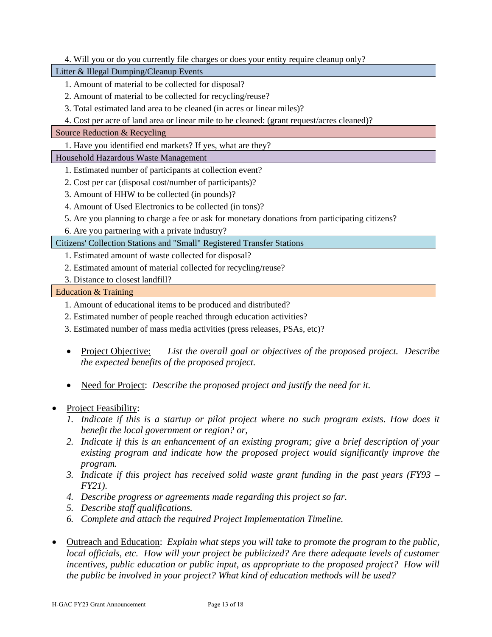#### 4. Will you or do you currently file charges or does your entity require cleanup only?

Litter & Illegal Dumping/Cleanup Events

- 1. Amount of material to be collected for disposal?
- 2. Amount of material to be collected for recycling/reuse?
- 3. Total estimated land area to be cleaned (in acres or linear miles)?
- 4. Cost per acre of land area or linear mile to be cleaned: (grant request/acres cleaned)?

#### Source Reduction & Recycling

1. Have you identified end markets? If yes, what are they?

#### Household Hazardous Waste Management

- 1. Estimated number of participants at collection event?
- 2. Cost per car (disposal cost/number of participants)?
- 3. Amount of HHW to be collected (in pounds)?
- 4. Amount of Used Electronics to be collected (in tons)?
- 5. Are you planning to charge a fee or ask for monetary donations from participating citizens?
- 6. Are you partnering with a private industry?

#### Citizens' Collection Stations and "Small" Registered Transfer Stations

- 1. Estimated amount of waste collected for disposal?
- 2. Estimated amount of material collected for recycling/reuse?
- 3. Distance to closest landfill?

#### Education & Training

- 1. Amount of educational items to be produced and distributed?
- 2. Estimated number of people reached through education activities?
- 3. Estimated number of mass media activities (press releases, PSAs, etc)?
- Project Objective: *List the overall goal or objectives of the proposed project. Describe the expected benefits of the proposed project.*
- Need for Project: *Describe the proposed project and justify the need for it.*

#### • Project Feasibility:

- *1. Indicate if this is a startup or pilot project where no such program exists. How does it benefit the local government or region? or,*
- *2. Indicate if this is an enhancement of an existing program; give a brief description of your existing program and indicate how the proposed project would significantly improve the program.*
- *3. Indicate if this project has received solid waste grant funding in the past years (FY93 – FY21).*
- *4. Describe progress or agreements made regarding this project so far.*
- *5. Describe staff qualifications.*
- *6. Complete and attach the required Project Implementation Timeline.*
- Outreach and Education: *Explain what steps you will take to promote the program to the public, local officials, etc. How will your project be publicized? Are there adequate levels of customer incentives, public education or public input, as appropriate to the proposed project? How will the public be involved in your project? What kind of education methods will be used?*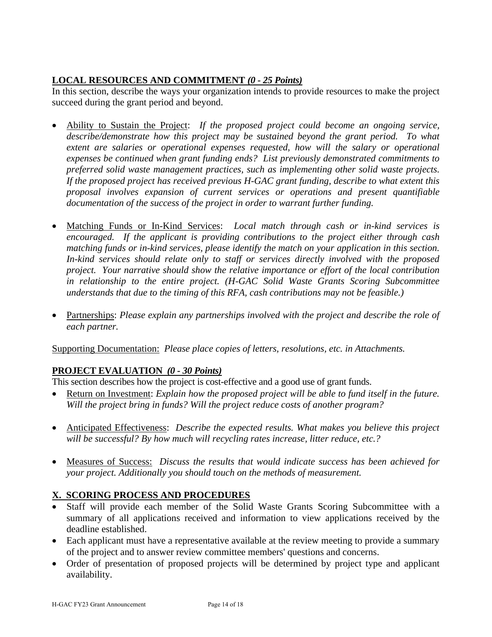# **LOCAL RESOURCES AND COMMITMENT** *(0 - 25 Points)*

In this section, describe the ways your organization intends to provide resources to make the project succeed during the grant period and beyond.

- Ability to Sustain the Project: *If the proposed project could become an ongoing service, describe/demonstrate how this project may be sustained beyond the grant period. To what extent are salaries or operational expenses requested, how will the salary or operational expenses be continued when grant funding ends? List previously demonstrated commitments to preferred solid waste management practices, such as implementing other solid waste projects. If the proposed project has received previous H-GAC grant funding, describe to what extent this proposal involves expansion of current services or operations and present quantifiable documentation of the success of the project in order to warrant further funding.*
- Matching Funds or In-Kind Services: *Local match through cash or in-kind services is encouraged. If the applicant is providing contributions to the project either through cash matching funds or in-kind services, please identify the match on your application in this section. In-kind services should relate only to staff or services directly involved with the proposed project. Your narrative should show the relative importance or effort of the local contribution in relationship to the entire project. (H-GAC Solid Waste Grants Scoring Subcommittee understands that due to the timing of this RFA, cash contributions may not be feasible.)*
- Partnerships: *Please explain any partnerships involved with the project and describe the role of each partner.*

Supporting Documentation: *Please place copies of letters, resolutions, etc. in Attachments.* 

# **PROJECT EVALUATION** *(0 - 30 Points)*

This section describes how the project is cost-effective and a good use of grant funds.

- Return on Investment: *Explain how the proposed project will be able to fund itself in the future. Will the project bring in funds? Will the project reduce costs of another program?*
- Anticipated Effectiveness: *Describe the expected results. What makes you believe this project will be successful? By how much will recycling rates increase, litter reduce, etc.?*
- Measures of Success: *Discuss the results that would indicate success has been achieved for your project. Additionally you should touch on the methods of measurement.*

# **X. SCORING PROCESS AND PROCEDURES**

- Staff will provide each member of the Solid Waste Grants Scoring Subcommittee with a summary of all applications received and information to view applications received by the deadline established.
- Each applicant must have a representative available at the review meeting to provide a summary of the project and to answer review committee members' questions and concerns.
- Order of presentation of proposed projects will be determined by project type and applicant availability.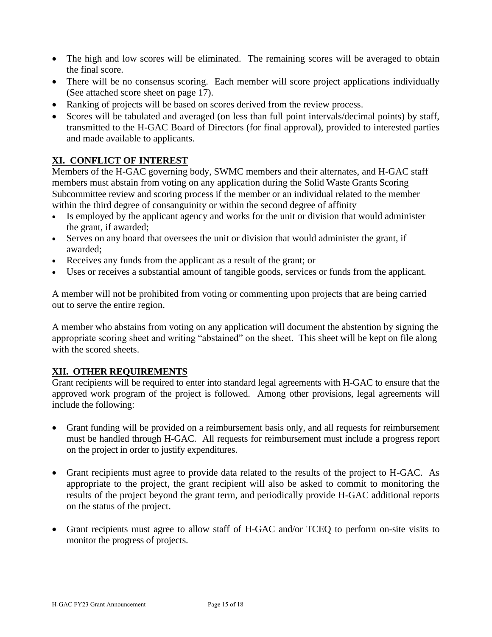- The high and low scores will be eliminated. The remaining scores will be averaged to obtain the final score.
- There will be no consensus scoring. Each member will score project applications individually (See attached score sheet on page 17).
- Ranking of projects will be based on scores derived from the review process.
- Scores will be tabulated and averaged (on less than full point intervals/decimal points) by staff, transmitted to the H-GAC Board of Directors (for final approval), provided to interested parties and made available to applicants.

# **XI. CONFLICT OF INTEREST**

Members of the H-GAC governing body, SWMC members and their alternates, and H-GAC staff members must abstain from voting on any application during the Solid Waste Grants Scoring Subcommittee review and scoring process if the member or an individual related to the member within the third degree of consanguinity or within the second degree of affinity

- Is employed by the applicant agency and works for the unit or division that would administer the grant, if awarded;
- Serves on any board that oversees the unit or division that would administer the grant, if awarded;
- Receives any funds from the applicant as a result of the grant; or
- Uses or receives a substantial amount of tangible goods, services or funds from the applicant.

A member will not be prohibited from voting or commenting upon projects that are being carried out to serve the entire region.

A member who abstains from voting on any application will document the abstention by signing the appropriate scoring sheet and writing "abstained" on the sheet. This sheet will be kept on file along with the scored sheets.

# **XII. OTHER REQUIREMENTS**

Grant recipients will be required to enter into standard legal agreements with H-GAC to ensure that the approved work program of the project is followed. Among other provisions, legal agreements will include the following:

- Grant funding will be provided on a reimbursement basis only, and all requests for reimbursement must be handled through H-GAC. All requests for reimbursement must include a progress report on the project in order to justify expenditures.
- Grant recipients must agree to provide data related to the results of the project to H-GAC. As appropriate to the project, the grant recipient will also be asked to commit to monitoring the results of the project beyond the grant term, and periodically provide H-GAC additional reports on the status of the project.
- Grant recipients must agree to allow staff of H-GAC and/or TCEQ to perform on-site visits to monitor the progress of projects.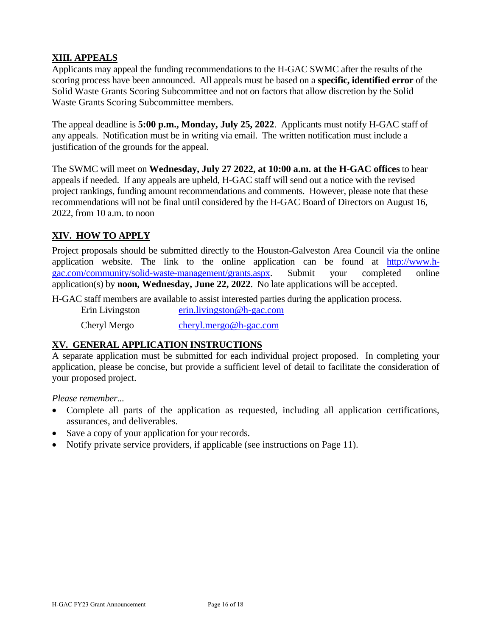### **XIII. APPEALS**

Applicants may appeal the funding recommendations to the H-GAC SWMC after the results of the scoring process have been announced. All appeals must be based on a **specific, identified error** of the Solid Waste Grants Scoring Subcommittee and not on factors that allow discretion by the Solid Waste Grants Scoring Subcommittee members.

The appeal deadline is **5:00 p.m., Monday, July 25, 2022**. Applicants must notify H-GAC staff of any appeals. Notification must be in writing via email. The written notification must include a justification of the grounds for the appeal.

The SWMC will meet on **Wednesday, July 27 2022, at 10:00 a.m. at the H-GAC offices** to hear appeals if needed. If any appeals are upheld, H-GAC staff will send out a notice with the revised project rankings, funding amount recommendations and comments. However, please note that these recommendations will not be final until considered by the H-GAC Board of Directors on August 16, 2022, from 10 a.m. to noon

# **XIV. HOW TO APPLY**

Project proposals should be submitted directly to the Houston-Galveston Area Council via the online application website. The link to the online application can be found at [http://www.h](http://www.h-gac.com/community/solid-waste-management/grants.aspx)[gac.com/community/solid-waste-management/grants.aspx.](http://www.h-gac.com/community/solid-waste-management/grants.aspx) Submit your completed online application(s) by **noon, Wednesday, June 22, 2022**. No late applications will be accepted.

H-GAC staff members are available to assist interested parties during the application process.

Erin Livingston [erin.livingston@h-gac.com](mailto:erin.livingston@h-gac.com) Cheryl Mergo [cheryl.mergo@h-gac.com](mailto:cheryl.mergo@h-gac.com)

# **XV. GENERAL APPLICATION INSTRUCTIONS**

A separate application must be submitted for each individual project proposed. In completing your application, please be concise, but provide a sufficient level of detail to facilitate the consideration of your proposed project.

*Please remember...*

- Complete all parts of the application as requested, including all application certifications, assurances, and deliverables.
- Save a copy of your application for your records.
- Notify private service providers, if applicable (see instructions on Page 11).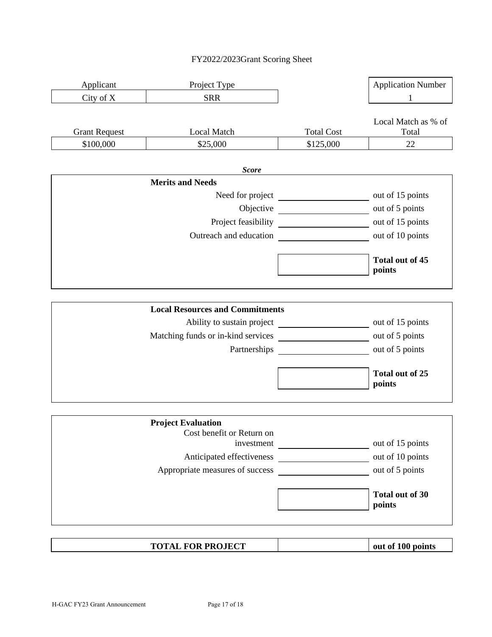#### FY2022/2023Grant Scoring Sheet



| <b>TOTAL FOR PROJECT</b> |  | out of 100 points |  |
|--------------------------|--|-------------------|--|
|--------------------------|--|-------------------|--|